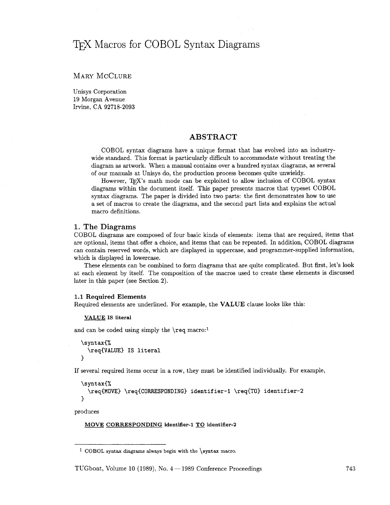# *7JjX* Macros for COBOL Syntax Diagrams

# MARY MCCLURE

Unisys Corporation 19 Morgan Avenue Irvine. CA 92718-2093

# **ABSTRACT**

COBOL syntax diagrams have a unique format that has evolved into an industrywide standard. This format is particularly difficult to accommodate without treating the diagram as artwork. When a manual contains over a hundred syntax diagrams, as several of our manuals at Unisys do, the production process becomes quite unwieldy.

However, T<sub>F</sub>X's math mode can be exploited to allow inclusion of COBOL syntax diagrams within the document itself. This paper presents macros that typeset COBOL syntax diagrams. The paper is divided into two parts: the fist demonstrates how to use a set of macros to create the diagrams, and the second part lists and explains the actual macro definitions.

## **1. The Diagrams**

COBOL diagrams are composed of four basic kinds of elements: items that are required, items that are optional, items that offer a choice, and items that can be repeated. In addition, COBOL diagrams can contain reserved words, which are displayed in uppercase, and programmer-supplied information, which is displayed in lowercase.

These elements can be combined to form diagrams that are quite complicated. But first, let's look at each element by itself. The composition of the macros used to create these elements is discussed later in this paper (see Section 2).

#### 1.1 **Required Elements**

Required elements are underlined. For example, the VALUE clause looks like this:

#### **VALUE IS literal**

and can be coded using simply the **\req** macro:<sup>1</sup>

**\syntax(% \req(VALUE) IS literal**  3

If several required items occur in a row, they must be identified individually. For example,

```
\sqrt{\text{syntax}}\req{MOVE} \req{CORRESPONDING} identifier-1 \req{TO} identifier-2
\mathcal{F}
```
produces

# **MOVE CORRESPONDING identifier-1 TO identifier-2**

TUGboat, Volume 10 (1989), No.  $4-1989$  Conference Proceedings

COBOL **syntax** diagrams always begin with the **\syntax** macro.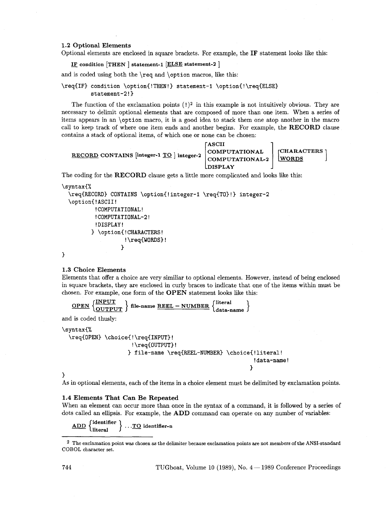### **1.2 Optional Elements**

Optional elements are enclosed in square brackets. For example, the **IF** statement looks like this:<br>**IF** condition [THEN ] statement-1 [ELSE statement-2 ]

and is coded using both the **\req** and **\option** macros, like this:

```
\req€IF3 condition \option€!THEN!) statement-1 \option{!\req(ELSE) 
         statement-2! 3
```
The function of the exclamation points **(!)2** in this example is not intuitively obvious. They are necessary to delimit optional elements that are composed of more than one item. When a series of items appears in an **\option** macro, it is a good idea to stack them one atop another in the macro call to keep track of where one item ends and another begins. For example, the **RECORD** clause contains a stack of optional items, of which one or none can be chosen:

```
RECORD CONTAINS [integer-1 <u>TO</u> ] integer-2 <br>COMPUTATIONAL-2 WORDS [WORDS]
```
The coding for the **RECORD** clause gets a little more complicated and looks lie this:

```
\syntax€%
```

```
\reqCRECORD) CONTAINS \option< ! integer-1 \req{TO) ! ) integer-2 
\option(!ASCII! 
         !COMPUTATIONAL! 
         !COMPUTATIONAL-2! 
         !DISPLAY ! 
        3 \opt ion€ ! CHARACTERS ! 
                   !\req€WORDS)! 
                  1
```
 $\frac{\text{OPEN}}{\text{OUTPUT}}$  } file-name REEL – NUMBER  $\{$  data-name  $\}$ 

# **3**

### **1.3 Choice Elements**

Elements that offer a choice are very similiar to optional elements. However, instead of being enclosed in square brackets, they are enclosed in curly braces to indicate that one of the items within must be chosen. For example, one form of the **OPEN** statement looks like this:

```
and is coded thusly:
```

```
\syntax€% 
  \reqCOPEN) \choice{ ! \req€INPUT) ! 
                        !\reqCOUTPUT)! 
                       3f ile-name \req€FEEL-NUMBER) \choice( !literal ! 
                                                                   ! dat a-name ! 
                                                                  1
```
### **3**

As in optional elements, each of the items in a choice element must be delimited by exclamation points.

### **1.4 Elements That Can Be Repeated**

When an element can occur more than once in the syntax of a command, it is followed by a series of dots called an ellipsis. For example, the **ADD** command can operate on any number of variables:

 $\underbrace{\text{ADD}} \left\{\begin{matrix} \text{identifier} \\ \text{literal} \end{matrix} \right\} \dots \underline{\text{TO}} \text{ identifier-n}$ 

The exclamation point was chosen as the delimiter because exclamation points are not members of the ANSI-standard COBOL character set.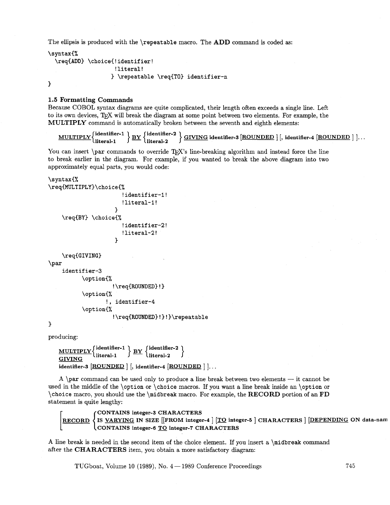The ellipsis is produced with the \repeatable macro. The **ADD** command is coded as:

```
\syntax(% 
  \req(ADD3 \choice( ! identifier ! 
                      !literal! 
                     3 \repeatable \req{TO} identifier-n
3
```
**1.5 Formatting Commands** 

Because COBOL syntax diagrams are quite complicated, their length often exceeds a single line. Left to its own devices, TEX will break the diagram at some point between two elements. For example, the **MULTIPLY** command is automatically broken between the seventh and eighth elements:

 $\text{MULTIPLY} \left\{ \frac{\text{identifier-1}}{\text{litonal 1}} \right\} \text{BY} \left\{ \frac{\text{identifier-2}}{\text{litonal 2}} \right\} \Omega$ 5, TEX will break the diagram at some point between two elements. For example, the<br>mmand is automatically broken between the seventh and eighth elements:<br>identifier-1  $BY$   $\left\{\text{identifier-2}\atop\text{literal-2}\right\}$   $\left\{\text{GIVING}\atop\text{identifier-3}\right\}$ 

You can insert  $\parrow$  commands to override T<sub>EX</sub>'s line-breaking algorithm and instead force the line to break earlier in the diagram. For example, if you wanted to break the above diagram into two approximately equal parts, you would code:

```
\syntax{%
\req{MULTIPLY}\choice{%
                           !identifier-1!
                           !literal-1!
                        \mathcal{L}\req{BY} \choice{%
                           !identifier-2!
                          !literal-2!
                        \mathbf{r}\req{GIVING) 
\par 
     identifier-3 
            \opt ion(%
```

```
!\ \text{ROUNDED} ! \}\opt ion(% 
        !, identifier-4
\opt ion(% 
          !\req{ROUNDED}!}!}\repeatable
```
 $\mathbf{1}$ 

producing:

```
\text{MULTIPLY} \left\{ \frac{\text{identifier-1}}{\text{litonal 1}} \right\} \text{ BY} \left\{ \frac{\text{identifier-2}}{\text{litonal 2}} \right\}literal-1 - 
GIVING BY literal-2 
identifier-3 \overline{ROUNDED} | [, identifier-4 \overline{ROUNDED} ] \ldots
```
A  $\parbox{1.0\textwidth}{\textwidth}{\textwidth}{\textwidth}}$  A  $\parbox{1.0\textwidth}{\textwidth}{\textwidth}}$  and can be used only to produce a line break between two elements — it cannot be used in the middle of the \option or \choice macros. If you want a line break inside an \option or \choice macro, you should use the \midbreak macro. For example, the **RECORD** portion of an **FD**  statement is quite lengthy:

**CONTAINS integer-3 CHARACTERS IS VARYING IN SIZE [[FROM integer-4** ] **[TO integer-5** ] **CHARACTERS** ] **[DEPENDING ON data-nam**  CONTAINS integer-6 **TO** integer-7 CHARACTERS

**A** line break is needed in the second item of the choice element. If you insert a \midbreak command after the **CHARACTERS** item, you obtain a more satisfactory diagram:

TUGboat, Volume 10 (1989), No.  $4-1989$  Conference Proceedings

745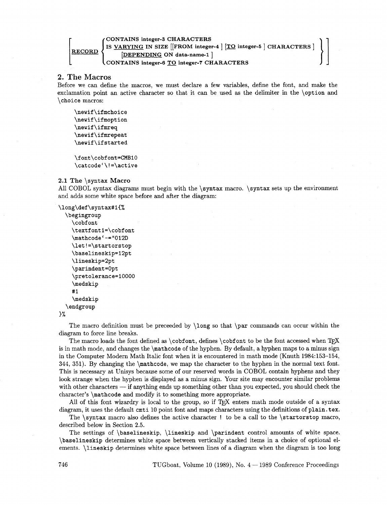# $\begin{array}{l} \textbf{CONTAINS}\textbf{ integers-3}\ \textbf{I} \textbf{B} \textbf{S} \end{array}$   $\begin{array}{l} \textbf{[FROM}\textbf{ integers-4}\textbf{]}\textbf{[TO}\textbf{ integers-5}\textbf{]}\textbf{CHARACTERS}\end{array}$ **RECORD [DEPENDING ON data-name-1** ] **CONTAINS integer-6** TO **integer-7 CHARACTERS**

# **2. The Macros**

Before we can define the macros, we must declare a few variables, define the font, and make the exclamation point an active character so that it can be used as the delimiter in the **\option** and **\choice** macros:

```
\newif\ifmchoice 
\newif \ifmoption 
\newif \ifmreq 
\newif \if mrepeat 
\newif \if started
```
\font\cobfont=CMB10 \catcode'\!=\active

# **2.1 The \syntax Macro**

All COBOL syntax diagrams must begin with the **\syntax** macro. **\syntax** sets up the environment and adds some white space before and after the diagram:

```
\long\def\syntax#l(%
```

```
\begingroup 
  \cobf ont 
  \textfontl=\cobfont 
  \mathcode'-="012D 
  \let! =\startorstop 
  \baselineskip=l2pt 
  \lineskip=2pt 
  \parindent =Opt 
  \pretolerance=l0000 
  \medskip 
  #I 
  \medskip 
\endgroup
```
**1%** 

The macro definition must be preceeded by **\long** so that **\par** commands can occur within the diagram to force line breaks.

The macro loads the font defined as **\cobfont**, defines **\cobfont** to be the font accessed when TEX is in math mode, and changes the **\mathcode** of the hyphen. By default, a hyphen maps to a minus sign in the Computer Modern Math Italic font when it is encountered in math mode (Knuth 1984:153-154, 344, 351). By changing the **\mathcode,** we map the character to the hyphen in the normal text font. This is necessary at Unisys because some of our reserved words in COBOL contain hyphens and they I has is necessary at Omsys because some of our reserved words in COBOL contain hypnens and they<br>look strange when the hyphen is displayed as a minus sign. Your site may encounter similar problems<br>with other characters — i character's **\mathcode** and modify it to something more appropriate.

All of this font wizardry is local to the group, so if  $T<sub>F</sub>X$  enters math mode outside of a syntax diagram, it uses the default **cmti** 10 point font and maps characters using the definitions of **plain. tex.** 

The **\syntax** macro also defines the active character ! to be a call to the **\startorstop** macro, described below in Section 2.5.

The settings of **\baselineskip, \lineskip** and **\parindent** control amounts of white space. **\baselineskip** determines white space between vertically stacked items in a choice of optional elements. **\lineskip** determines white space between lines of a diagram when the diagram is too long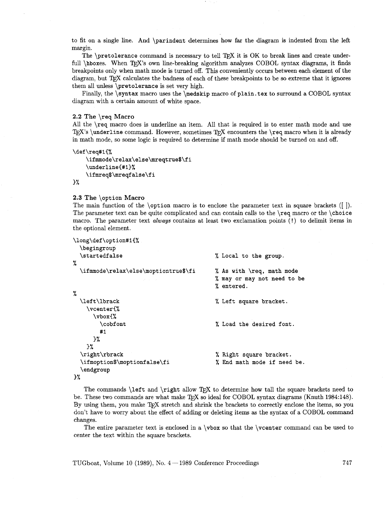to fit on a single line. And **\parindent** determines how far the diagram is indented from the left margin.

The **\pretolerance** command is necessary to tell TFX it is OK to break lines and create underfull **\hboxes.** When T<sub>E</sub>X's own line-breaking algorithm analyzes COBOL syntax diagrams, it finds breakpoints only when math mode is turned off. This conveniently occurs between each element of the diagram, but TEX calculates the badness of each of these breakpoints to be so extreme that it ignores them all unless **\pretolerance** is set very high.

Finally, the **\syntax** macro uses the **\medskip** macro of **plain.tex** to surround a COBOL syntax diagram with a certain amount of white space.

### **2.2 The \req Macro**

All the **\req** macro does is underline an item. All that is required is to enter math mode and use T<sub>E</sub>X's \underline command. However, sometimes T<sub>F</sub>X encounters the \req macro when it is already in math mode, so some logic is required to determine if math mode should be turned on and off.

```
\def\req#1{%
```

```
\ifmmode\relax\else\mreqtrue$\fi
\underline{#1}%
\ifmreq$\mreqfalse\fi
```
}%

# **2.3 The \option Macro**

The main function of the **\option** macro is to enclose the parameter text in square brackets ([ I). The parameter text can be quite complicated and can contain calls to the **\req** macro or the **\choice**  macro. The parameter text *always* contains at least two exclamation points (!) to delimit items in the optional element.

| \long\def\option#1{%                 |                             |
|--------------------------------------|-----------------------------|
| <i><b>\begingroup</b></i>            |                             |
| \startedfalse                        | % Local to the group.       |
| ؉                                    |                             |
| \ifmmode\relax\else\moptiontrue\$\fi | % As with \req, math mode   |
|                                      | % may or may not need to be |
|                                      | % entered.                  |
| %                                    |                             |
| \left\lbrack                         | % Left square bracket.      |
| $\verb \vcenter $                    |                             |
| $\forall$ box $\{$ %                 |                             |
| \cobfont                             | % Load the desired font.    |
| #1                                   |                             |
| $\frac{1}{2}$                        |                             |
| }%                                   |                             |
| \right\rbrack                        | % Right square bracket.     |
| \ifmoption\$\moptionfalse\fi         | % End math mode if need be. |
| \endgroup                            |                             |
| 3%                                   |                             |

The commands **\left** and **\right** allow TEX to determine how tall the square brackets need to be. These two commands are what make T<sub>F</sub>X so ideal for COBOL syntax diagrams (Knuth 1984:148). By using them, you make T<sub>F</sub>X stretch and shrink the brackets to correctly enclose the items, so you don't have to worry about the effect of adding or deleting items as the syntax of a COBOL command changes.

The entire parameter text is enclosed in a **\vbox** so that the **\vcenter** command can be used to center the text within the square brackets.

TUGboat, Volume 10 (1989), No.  $4-1989$  Conference Proceedings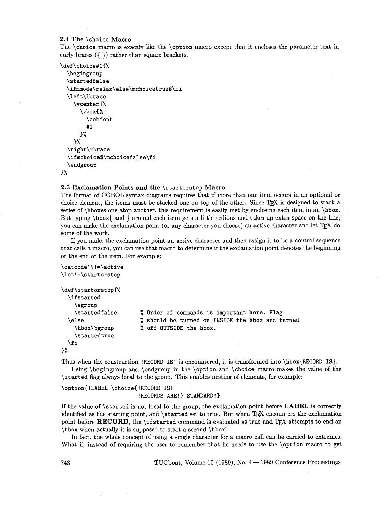### **2.4 The \choice Macro**

The **\choice** macro is exactly like the **\option** macro except that it encloses the parameter text in curly braces ({ )) rather than square brackets.

```
\def\choicet#l(% 
  \begingroup 
  \startedfalse 
  \ifmmode\relax\else\mchoicetrue$\f i 
  \lef t\lbrace 
    \vcent erC% 
      \vbox(% 
         \cobf ont 
         # 1 
      3% 
    3% 
  \right \rbrace 
  \ifmchoice$\mchoicefalse\fi 
  \endgroup
```

```
\frac{1}{2}
```
### **2.5 Exclamation Points and the \startorstop Macro**

The format of COBOL syntax diagrams requires that if more than one item occurs in an optional or choice element, the items must be stacked one on top of the other. Since TFX is designed to stack a series of **\hboxes** one atop another, this requirement is easily met by enclosing each item in an **\hbox.** But typing **\hbox{** and ) around each item gets a little tedious and takes up extra space on the line; you can make the exclamation point (or any character you choose) an active character and let  $T_{F}X$  do some of the work.

If you make the exclamation point an active character and then assign it to be a control sequence that calls a macro, you can use that macro to determine if the exclamation point denotes the beginning or the end of the item. For example:

```
\catcode'\!=\active
\let!=\startorstop
\def\startorstopC% 
  \if started 
    \egroup 
    \startedf alse 
                          % Order of commands is important here. Flag 
  \else 
                          % should be turned on INSIDE the hbox and turned 
    \hbox\bgroup 
                          % off OUTSIDE the hbox. 
    \startedtrue 
  \f i 
3%
```
Thus when the construction **!RECORD IS!** is encountered, it is transformed into **\hbox{RECORD IS).**  Using **\begingroup** and **\endgroup** in the **\option** and **\choice** macro makes the value of the

**\started** flag always local to the group. This enables nesting of elements, for example:

**\opt ion( !LABEL \choice( !RECORD IS** ! **!RECORDS ARE!) STANDARD!)** 

If the value of **\started** is not local to the group, the exclamation point before **LABEL** is correctly identified as the starting point, and **\started** set to true. But when T<sub>F</sub>X encounters the exclamation point before RECORD, the **\ifstarted** command is evaluated as true and T<sub>E</sub>X attempts to end an **\hbox** when actually it is supposed to start a second **\hbox!** 

In fact, the whole concept of using a single character for a macro call can be carried to extremes. What if, instead of requiring the user to remember that he needs to use the **\option** macro to get